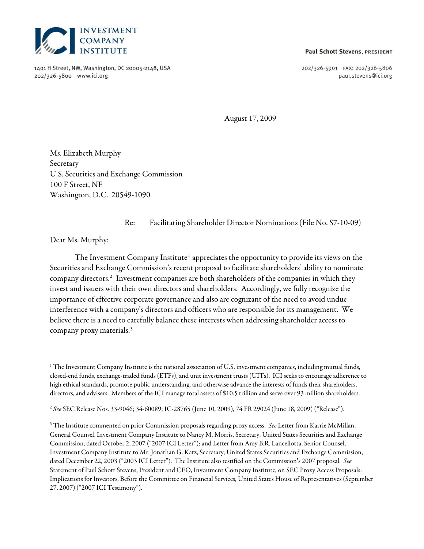

1401 H Street, NW, Washington, DC 20005-2148, USA 202/326'5800 www.ici.org

#### **Paul Schott Stevens, PRESIDENT**

202/326-5901 FAX: 202/326-5806 paul.stevens@ici.org

August 17, 2009

Ms. Elizabeth Murphy Secretary U.S. Securities and Exchange Commission 100 F Street, NE Washington, D.C. 20549-1090

Re: Facilitating Shareholder Director Nominations (File No. S7-10-09)

Dear Ms. Murphy:

The Investment Company Institute<sup>[1](#page-0-0)</sup> appreciates the opportunity to provide its views on the Securities and Exchange Commission's recent proposal to facilitate shareholders' ability to nominate company directors.[2](#page-0-1) Investment companies are both shareholders of the companies in which they invest and issuers with their own directors and shareholders. Accordingly, we fully recognize the importance of effective corporate governance and also are cognizant of the need to avoid undue interference with a company's directors and officers who are responsible for its management. We believe there is a need to carefully balance these interests when addressing shareholder access to company proxy materials.[3](#page-0-2) 

<span id="page-0-0"></span><sup>1</sup> The Investment Company Institute is the national association of U.S. investment companies, including mutual funds, closed-end funds, exchange-traded funds (ETFs), and unit investment trusts (UITs). ICI seeks to encourage adherence to high ethical standards, promote public understanding, and otherwise advance the interests of funds their shareholders, directors, and advisers. Members of the ICI manage total assets of \$10.5 trillion and serve over 93 million shareholders.

<span id="page-0-1"></span><sup>2</sup> See SEC Release Nos. 33-9046; 34-60089; IC-28765 (June 10, 2009), 74 FR 29024 (June 18, 2009) ("Release").

<span id="page-0-2"></span> $3$  The Institute commented on prior Commission proposals regarding proxy access. See Letter from Karrie McMillan, General Counsel, Investment Company Institute to Nancy M. Morris, Secretary, United States Securities and Exchange Commission, dated October 2, 2007 ("2007 ICI Letter"); and Letter from Amy B.R. Lancellotta, Senior Counsel, Investment Company Institute to Mr. Jonathan G. Katz, Secretary, United States Securities and Exchange Commission, dated December 22, 2003 ("2003 ICI Letter"). The Institute also testified on the Commission's 2007 proposal. See Statement of Paul Schott Stevens, President and CEO, Investment Company Institute, on SEC Proxy Access Proposals: Implications for Investors, Before the Committee on Financial Services, United States House of Representatives (September 27, 2007) ("2007 ICI Testimony").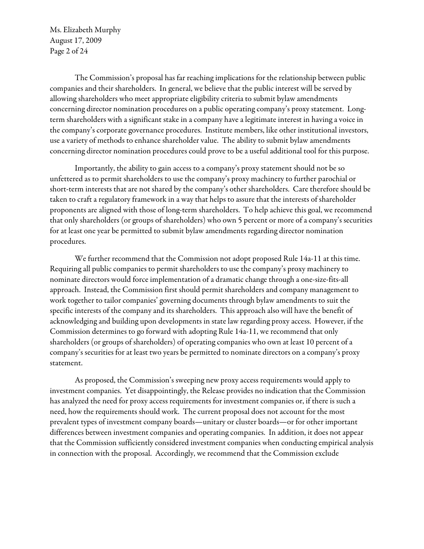Ms. Elizabeth Murphy August 17, 2009 Page 2 of 24

The Commission's proposal has far reaching implications for the relationship between public companies and their shareholders. In general, we believe that the public interest will be served by allowing shareholders who meet appropriate eligibility criteria to submit bylaw amendments concerning director nomination procedures on a public operating company's proxy statement. Longterm shareholders with a significant stake in a company have a legitimate interest in having a voice in the company's corporate governance procedures. Institute members, like other institutional investors, use a variety of methods to enhance shareholder value. The ability to submit bylaw amendments concerning director nomination procedures could prove to be a useful additional tool for this purpose.

Importantly, the ability to gain access to a company's proxy statement should not be so unfettered as to permit shareholders to use the company's proxy machinery to further parochial or short-term interests that are not shared by the company's other shareholders. Care therefore should be taken to craft a regulatory framework in a way that helps to assure that the interests of shareholder proponents are aligned with those of long-term shareholders. To help achieve this goal, we recommend that only shareholders (or groups of shareholders) who own 5 percent or more of a company's securities for at least one year be permitted to submit bylaw amendments regarding director nomination procedures.

We further recommend that the Commission not adopt proposed Rule 14a-11 at this time. Requiring all public companies to permit shareholders to use the company's proxy machinery to nominate directors would force implementation of a dramatic change through a one-size-fits-all approach. Instead, the Commission first should permit shareholders and company management to work together to tailor companies' governing documents through bylaw amendments to suit the specific interests of the company and its shareholders. This approach also will have the benefit of acknowledging and building upon developments in state law regarding proxy access. However, if the Commission determines to go forward with adopting Rule 14a-11, we recommend that only shareholders (or groups of shareholders) of operating companies who own at least 10 percent of a company's securities for at least two years be permitted to nominate directors on a company's proxy statement.

As proposed, the Commission's sweeping new proxy access requirements would apply to investment companies. Yet disappointingly, the Release provides no indication that the Commission has analyzed the need for proxy access requirements for investment companies or, if there is such a need, how the requirements should work. The current proposal does not account for the most prevalent types of investment company boards—unitary or cluster boards—or for other important differences between investment companies and operating companies. In addition, it does not appear that the Commission sufficiently considered investment companies when conducting empirical analysis in connection with the proposal. Accordingly, we recommend that the Commission exclude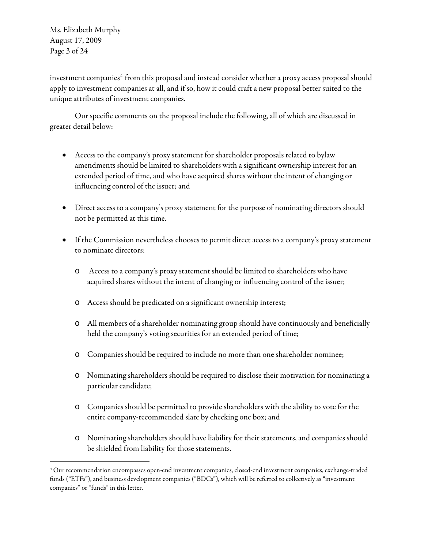Ms. Elizabeth Murphy August 17, 2009 Page 3 of 24

 $\overline{a}$ 

investment companies $^4$  $^4$  from this proposal and instead consider whether a proxy access proposal should apply to investment companies at all, and if so, how it could craft a new proposal better suited to the unique attributes of investment companies.

Our specific comments on the proposal include the following, all of which are discussed in greater detail below:

- Access to the company's proxy statement for shareholder proposals related to bylaw amendments should be limited to shareholders with a significant ownership interest for an extended period of time, and who have acquired shares without the intent of changing or influencing control of the issuer; and
- Direct access to a company's proxy statement for the purpose of nominating directors should not be permitted at this time.
- • If the Commission nevertheless chooses to permit direct access to a company's proxy statement to nominate directors:
	- o Access to a company's proxy statement should be limited to shareholders who have acquired shares without the intent of changing or influencing control of the issuer;
	- o Access should be predicated on a significant ownership interest;
	- o All members of a shareholder nominating group should have continuously and beneficially held the company's voting securities for an extended period of time;
	- o Companies should be required to include no more than one shareholder nominee;
	- o Nominating shareholders should be required to disclose their motivation for nominating a particular candidate;
	- o Companies should be permitted to provide shareholders with the ability to vote for the entire company-recommended slate by checking one box; and
	- o Nominating shareholders should have liability for their statements, and companies should be shielded from liability for those statements.

<span id="page-2-0"></span><sup>4</sup> Our recommendation encompasses open-end investment companies, closed-end investment companies, exchange-traded funds ("ETFs"), and business development companies ("BDCs"), which will be referred to collectively as "investment companies" or "funds" in this letter.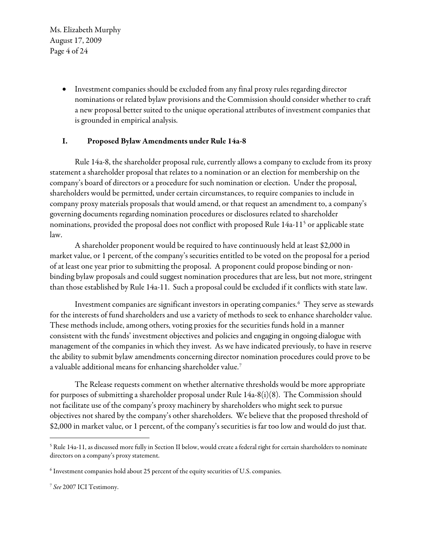Ms. Elizabeth Murphy August 17, 2009 Page 4 of 24

> • Investment companies should be excluded from any final proxy rules regarding director nominations or related bylaw provisions and the Commission should consider whether to craft a new proposal better suited to the unique operational attributes of investment companies that is grounded in empirical analysis.

### I. Proposed Bylaw Amendments under Rule 14a -8

Rule 14a-8, the shareholder proposal rule, currently allows a company to exclude from its proxy statement a shareholder proposal that relates to a nomination or an election for membership on the company's board of directors or a procedure for such nomination or election. Under the proposal, shareholders would be permitted, under certain circumstances, to require companies to include in company proxy materials proposals that would amend, or that request an amendment to, a company's governing documents regarding nomination procedures or disclosures related to shareholder nominations, provided the proposal does not conflict with proposed Rule 14a-11[5](#page-3-0) or applicable state law.

A shareholder proponent would be required to have continuously held at least \$2,000 in market value, or 1 percent, of the company's securities entitled to be voted on the proposal for a period of at least one year prior to submitting the proposal. A proponent could propose binding or nonbinding bylaw proposals and could suggest nomination procedures that are less, but not more, stringent than those established by Rule 14a-11. Such a proposal could be excluded if it conflicts with state law.

Investment companies are significant investors in operating companies. $\rm^6~$  $\rm^6~$  $\rm^6~$  They serve as stewards for the interests of fund shareholders and use a variety of methods to seek to enhance shareholder value. These methods include, among others, voting proxies for the securities funds hold in a manner consistent with the funds' investment objectives and policies and engaging in ongoing dialogue with management of the companies in which they invest. As we have indicated previously, to have in reserve the ability to submit bylaw amendments concerning director nomination procedures could prove to be a valuable additional means for enhancing shareholder value.<sup>[7](#page-3-2)</sup>

The Release requests comment on whether alternative thresholds would be more appropriate for purposes of submitting a shareholder proposal under Rule 14a-8(i)(8). The Commission should not facilitate use of the company's proxy machinery by shareholders who might seek to pursue objectives not shared by the company's other shareholders. We believe that the proposed threshold of \$2,000 in market value, or 1 percent, of the company's securities is far too low and would do just that.

<span id="page-3-0"></span> $5$  Rule 14a-11, as discussed more fully in Section II below, would create a federal right for certain shareholders to nominate directors on a company's proxy statement.

<span id="page-3-1"></span> $^6$  Investment companies hold about 25 percent of the equity securities of U.S. companies.

<span id="page-3-2"></span><sup>7</sup> See 2007 ICI Testimony.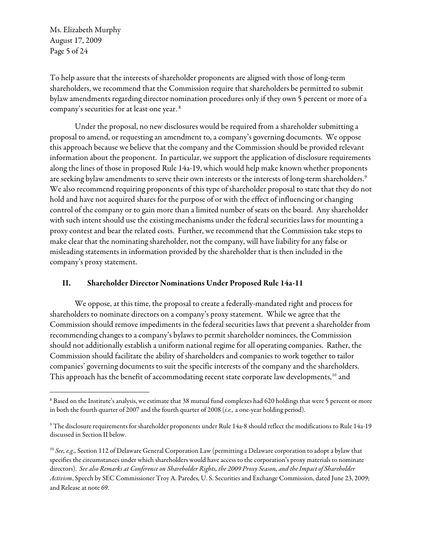Ms. Elizabeth Murphy August 17, 2009 Page 5 of 24

 $\overline{a}$ 

To help assure that the interests of shareholder proponents are aligned with those of long-term shareholders, we recommend that the Commission require that shareholders be permitted to submit bylaw amendments regarding director nomination procedures only if they own 5 percent or more of a company's securities for at least one year. [8](#page-4-0)

Under the proposal, no new disclosures would be required from a shareholder submitting a proposal to amend, or requesting an amendment to, a company's governing documents. We oppose this approach because we believe that the company and the Commission should be provided relevant information about the proponent. In particular, we support the application of disclosure requirements along the lines of those in proposed Rule 14a-19, which would help make known whether proponents are seeking bylaw amendments to serve their own interests or the interests of long-term shareholders.<sup>[9](#page-4-1)</sup> We also recommend requiring proponents of this type of shareholder proposal to state that they do not hold and have not acquired shares for the purpose of or with the effect of influencing or changing control of the company or to gain more than a limited number of seats on the board. Any shareholder with such intent should use the existing mechanisms under the federal securities laws for mounting a proxy contest and bear the related costs. Further, we recommend that the Commission take steps to make clear that the nominating shareholder, not the company, will have liability for any false or misleading statements in information provided by the shareholder that is then included in the company's proxy statement.

#### II. Shareholder Director Nominations Under Proposed Rule 14a-11

We oppose, at this time, the proposal to create a federally-mandated right and process for shareholders to nominate directors on a company's proxy statement. While we agree that the Commission should remove impediments in the federal securities laws that prevent a shareholder from recommending changes to a company's bylaws to permit shareholder nominees, the Commission should not additionally establish a uniform national regime for all operating companies. Rather, the Commission should facilitate the ability of shareholders and companies to work together to tailor companies' governing documents to suit the specific interests of the company and the shareholders. This approach has the benefit of accommodating recent state corporate law developments,<sup>[10](#page-4-2)</sup> and

<span id="page-4-0"></span> $^8$  Based on the Institute's analysis, we estimate that 38 mutual fund complexes had 620 holdings that were 5 percent or more in both the fourth quarter of 2007 and the fourth quarter of 2008 (i.e., a one-year holding period).

<span id="page-4-1"></span><sup>9</sup> The disclosure requirements for shareholder proponents under Rule 14a-8 should reflect the modifications to Rule 14a-19 discussed in Section II below.

<span id="page-4-2"></span> $10$  See, e.g., Section 112 of Delaware General Corporation Law (permitting a Delaware corporation to adopt a bylaw that specifies the circumstances under which shareholders would have access to the corporation's proxy materials to nominate directors). See also Remarks at Conference on Shareholder Rights, the 2009 Proxy Season, and the Impact of Shareholder Activism, Speech by SEC Commissioner Troy A. Paredes, U. S. Securities and Exchange Commission, dated June 23, 2009; and Release at note 69.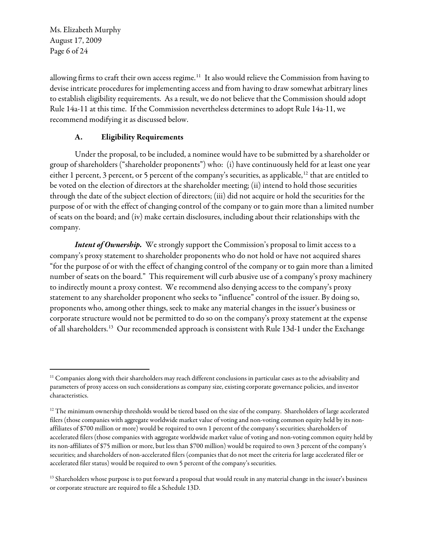Ms. Elizabeth Murphy August 17, 2009 Page 6 of 24

 $\overline{a}$ 

allowing firms to craft their own access regime.<sup>[11](#page-5-0)</sup> It also would relieve the Commission from having to devise intricate procedures for implementing access and from having to draw somewhat arbitrary lines to establish eligibility requirements. As a result, we do not believe that the Commission should adopt Rule 14a-11 at this time. If the Commission nevertheless determines to adopt Rule 14a-11, we recommend modifying it as discussed below.

### A. Eligibility Requirements

Under the proposal, to be included, a nominee would have to be submitted by a shareholder or group of shareholders ("shareholder proponents") who: (i) have continuously held for at least one year either 1 percent, 3 percent, or 5 percent of the company's securities, as applicable,<sup>[12](#page-5-1)</sup> that are entitled to be voted on the election of directors at the shareholder meeting; (ii) intend to hold those securities through the date of the subject election of directors; (iii) did not acquire or hold the securities for the purpose of or with the effect of changing control of the company or to gain more than a limited number of seats on the board; and (iv) make certain disclosures, including about their relationships with the company.

Intent of Ownership. We strongly support the Commission's proposal to limit access to a company's proxy statement to shareholder proponents who do not hold or have not acquired shares "for the purpose of or with the effect of changing control of the company or to gain more than a limited number of seats on the board." This requirement will curb abusive use of a company's proxy machinery to indirectly mount a proxy contest. We recommend also denying access to the company's proxy statement to any shareholder proponent who seeks to "influence" control of the issuer. By doing so, proponents who, among other things, seek to make any material changes in the issuer's business or corporate structure would not be permitted to do so on the company's proxy statement at the expense of all shareholders.<sup>[13](#page-5-2)</sup> Our recommended approach is consistent with Rule 13d-1 under the Exchange

<span id="page-5-0"></span> $11$  Companies along with their shareholders may reach different conclusions in particular cases as to the advisability and parameters of proxy access on such considerations as company size, existing corporate governance policies, and investor characteristics.

<span id="page-5-1"></span><sup>&</sup>lt;sup>12</sup> The minimum ownership thresholds would be tiered based on the size of the company. Shareholders of large accelerated filers (those companies with aggregate worldwide market value of voting and non-voting common equity held by its nonaffiliates of \$700 million or more) would be required to own 1 percent of the company's securities; shareholders of accelerated filers (those companies with aggregate worldwide market value of voting and non-voting common equity held by its non-affiliates of \$75 million or more, but less than \$700 million) would be required to own 3 percent of the company's securities; and shareholders of non-accelerated filers (companies that do not meet the criteria for large accelerated filer or accelerated filer status) would be required to own 5 percent of the company's securities.

<span id="page-5-2"></span><sup>&</sup>lt;sup>13</sup> Shareholders whose purpose is to put forward a proposal that would result in any material change in the issuer's business or corporate structure are required to file a Schedule 13D.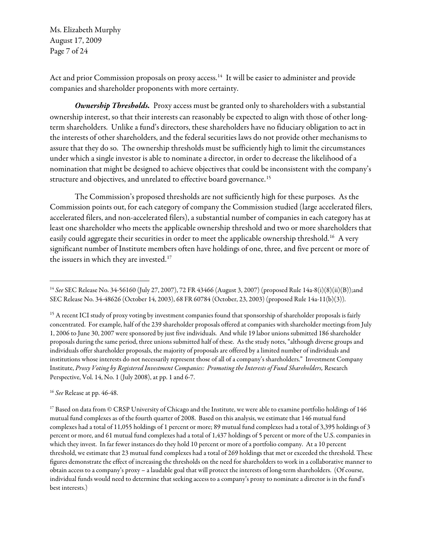Ms. Elizabeth Murphy August 17, 2009 Page 7 of 24

Act and prior Commission proposals on proxy access.<sup>[14](#page-6-0)</sup> It will be easier to administer and provide companies and shareholder proponents with more certainty.

Ownership Thresholds. Proxy access must be granted only to shareholders with a substantial ownership interest, so that their interests can reasonably be expected to align with those of other longterm shareholders. Unlike a fund's directors, these shareholders have no fiduciary obligation to act in the interests of other shareholders, and the federal securities laws do not provide other mechanisms to assure that they do so. The ownership thresholds must be sufficiently high to limit the circumstances under which a single investor is able to nominate a director, in order to decrease the likelihood of a nomination that might be designed to achieve objectives that could be inconsistent with the company's structure and objectives, and unrelated to effective board governance.<sup>[15](#page-6-1)</sup>

The Commission's proposed thresholds are not sufficiently high for these purposes. As the Commission points out, for each category of company the Commission studied (large accelerated filers, accelerated filers, and non-accelerated filers), a substantial number of companies in each category has at least one shareholder who meets the applicable ownership threshold and two or more shareholders that easily could aggregate their securities in order to meet the applicable ownership threshold.<sup>[16](#page-6-2)</sup> A very significant number of Institute members often have holdings of one, three, and five percent or more of the issuers in which they are invested.<sup>17</sup>

<span id="page-6-2"></span><sup>16</sup> See Release at pp. 46-48.

 $\overline{a}$ 

<span id="page-6-3"></span> $17$  Based on data from © CRSP University of Chicago and the Institute, we were able to examine portfolio holdings of 146 mutual fund complexes as of the fourth quarter of 2008. Based on this analysis, we estimate that 146 mutual fund complexes had a total of 11,055 holdings of 1 percent or more; 89 mutual fund complexes had a total of 3,395 holdings of 3 percent or more, and 61 mutual fund complexes had a total of 1,437 holdings of 5 percent or more of the U.S. companies in which they invest. In far fewer instances do they hold 10 percent or more of a portfolio company. At a 10 percent threshold, we estimate that 23 mutual fund complexes had a total of 269 holdings that met or exceeded the threshold. These figures demonstrate the effect of increasing the thresholds on the need for shareholders to work in a collaborative manner to obtain access to a company's proxy – a laudable goal that will protect the interests of long-term shareholders. (Of course, individual funds would need to determine that seeking access to a company's proxy to nominate a director is in the fund's best interests.)

<span id="page-6-0"></span><sup>&</sup>lt;sup>14</sup> See SEC Release No. 34-56160 (July 27, 2007), 72 FR 43466 (August 3, 2007) (proposed Rule 14a-8(i)(8)(ii)(B));and SEC Release No. 34-48626 (October 14, 2003), 68 FR 60784 (October, 23, 2003) (proposed Rule 14a-11(b)(3)).

<span id="page-6-1"></span><sup>&</sup>lt;sup>15</sup> A recent ICI study of proxy voting by investment companies found that sponsorship of shareholder proposals is fairly concentrated. For example, half of the 239 shareholder proposals offered at companies with shareholder meetings from July 1, 2006 to June 30, 2007 were sponsored by just five individuals. And while 19 labor unions submitted 186 shareholder proposals during the same period, three unions submitted half of these. As the study notes, "although diverse groups and individuals offer shareholder proposals, the majority of proposals are offered by a limited number of individuals and institutions whose interests do not necessarily represent those of all of a company's shareholders." Investment Company Institute, Proxy Voting by Registered Investment Companies: Promoting the Interests of Fund Shareholders, Research Perspective, Vol. 14, No. 1 (July 2008), at pp. 1 and 6-7.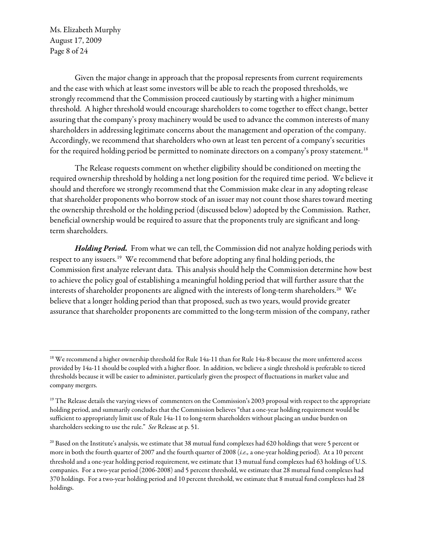Ms. Elizabeth Murphy August 17, 2009 Page 8 of 24

 $\overline{a}$ 

Given the major change in approach that the proposal represents from current requirements and the ease with which at least some investors will be able to reach the proposed thresholds, we strongly recommend that the Commission proceed cautiously by starting with a higher minimum threshold. A higher threshold would encourage shareholders to come together to effect change, better assuring that the company's proxy machinery would be used to advance the common interests of many shareholders in addressing legitimate concerns about the management and operation of the company. Accordingly, we recommend that shareholders who own at least ten percent of a company's securities for the required holding period be permitted to nominate directors on a company's proxy statement.<sup>18</sup>

The Release requests comment on whether eligibility should be conditioned on meeting the required ownership threshold by holding a net long position for the required time period. We believe it should and therefore we strongly recommend that the Commission make clear in any adopting release that shareholder proponents who borrow stock of an issuer may not count those shares toward meeting the ownership threshold or the holding period (discussed below) adopted by the Commission. Rather, beneficial ownership would be required to assure that the proponents truly are significant and longterm shareholders.

Holding Period. From what we can tell, the Commission did not analyze holding periods with respect to any issuers.[19](#page-7-1) We recommend that before adopting any final holding periods, the Commission first analyze relevant data. This analysis should help the Commission determine how best to achieve the policy goal of establishing a meaningful holding period that will further assure that the interests of shareholder proponents are aligned with the interests of long-term shareholders.<sup>[20](#page-7-2)</sup> We believe that a longer holding period than that proposed, such as two years, would provide greater assurance that shareholder proponents are committed to the long-term mission of the company, rather

<span id="page-7-0"></span><sup>&</sup>lt;sup>18</sup> We recommend a higher ownership threshold for Rule 14a-11 than for Rule 14a-8 because the more unfettered access provided by 14a-11 should be coupled with a higher floor. In addition, we believe a single threshold is preferable to tiered thresholds because it will be easier to administer, particularly given the prospect of fluctuations in market value and company mergers.

<span id="page-7-1"></span><sup>&</sup>lt;sup>19</sup> The Release details the varying views of commenters on the Commission's 2003 proposal with respect to the appropriate holding period, and summarily concludes that the Commission believes "that a one-year holding requirement would be sufficient to appropriately limit use of Rule 14a-11 to long-term shareholders without placing an undue burden on shareholders seeking to use the rule." See Release at p. 51.

<span id="page-7-2"></span><sup>&</sup>lt;sup>20</sup> Based on the Institute's analysis, we estimate that 38 mutual fund complexes had 620 holdings that were 5 percent or more in both the fourth quarter of 2007 and the fourth quarter of 2008 (i.e., a one-year holding period). At a 10 percent threshold and a one-year holding period requirement, we estimate that 13 mutual fund complexes had 63 holdings of U.S. companies. For a two-year period (2006-2008) and 5 percent threshold, we estimate that 28 mutual fund complexes had 370 holdings. For a two-year holding period and 10 percent threshold, we estimate that 8 mutual fund complexes had 28 holdings.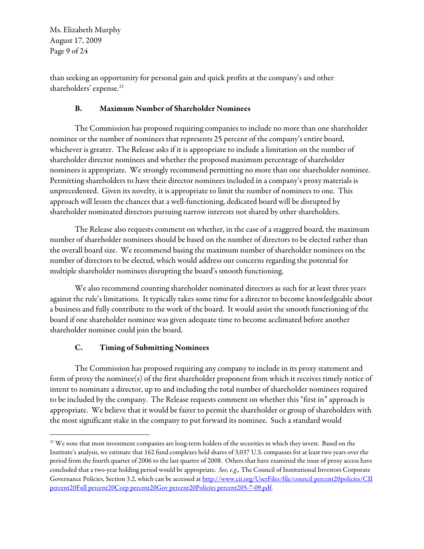Ms. Elizabeth Murphy August 17, 2009 Page 9 of 24

than seeking an opportunity for personal gain and quick profits at the company's and other shareholders' expense.<sup>[21](#page-8-0)</sup>

# B. Maximum Number of Shareholder Nominees

The Commission has proposed requiring companies to include no more than one shareholder nominee or the number of nominees that represents 25 percent of the company's entire board, whichever is greater. The Release asks if it is appropriate to include a limitation on the number of shareholder director nominees and whether the proposed maximum percentage of shareholder nominees is appropriate. We strongly recommend permitting no more than one shareholder nominee. Permitting shareholders to have their director nominees included in a company's proxy materials is unprecedented. Given its novelty, it is appropriate to limit the number of nominees to one. This approach will lessen the chances that a well-functioning, dedicated board will be disrupted by shareholder nominated directors pursuing narrow interests not shared by other shareholders.

The Release also requests comment on whether, in the case of a staggered board, the maximum number of shareholder nominees should be based on the number of directors to be elected rather than the overall board size. We recommend basing the maximum number of shareholder nominees on the number of directors to be elected, which would address our concerns regarding the potential for multiple shareholder nominees disrupting the board's smooth functioning.

We also recommend counting shareholder nominated directors as such for at least three years against the rule's limitations. It typically takes some time for a director to become knowledgeable about a business and fully contribute to the work of the board. It would assist the smooth functioning of the board if one shareholder nominee was given adequate time to become acclimated before another shareholder nominee could join the board.

# C. Timing of Submitting Nominees

 $\overline{a}$ 

The Commission has proposed requiring any company to include in its proxy statement and form of proxy the nominee(s) of the first shareholder proponent from which it receives timely notice of intent to nominate a director, up to and including the total number of shareholder nominees required to be included by the company. The Release requests comment on whether this "first in" approach is appropriate. We believe that it would be fairer to permit the shareholder or group of shareholders with the most significant stake in the company to put forward its nominee. Such a standard would

<span id="page-8-0"></span><sup>&</sup>lt;sup>21</sup> We note that most investment companies are long-term holders of the securities in which they invest. Based on the Institute's analysis, we estimate that 162 fund complexes held shares of 3,037 U.S. companies for at least two years over the period from the fourth quarter of 2006 to the last quarter of 2008. Others that have examined the issue of proxy access have concluded that a two-year holding period would be appropriate. See, e.g., The Council of Institutional Investors Corporate Governance Policies, Section 3.2, which can be accessed at [http://www.cii.org/UserFiles/file/council percent20policies/CII](http://www.cii.org/UserFiles/file/council%20policies/CII%20Full%20Corp%20Gov%20Policies%205-7-09.pdf)  [percent20Full percent20Corp percent20Gov percent20Policies percent205-7-09.pdf](http://www.cii.org/UserFiles/file/council%20policies/CII%20Full%20Corp%20Gov%20Policies%205-7-09.pdf).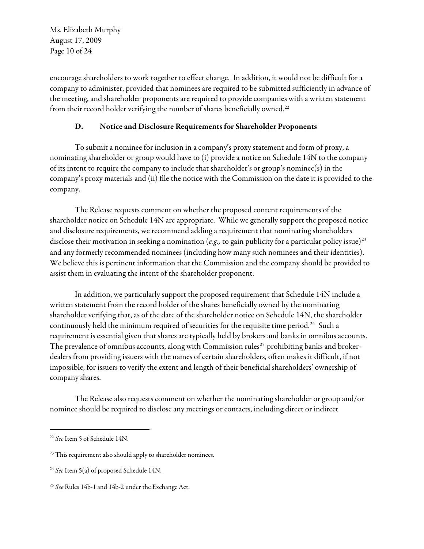Ms. Elizabeth Murphy August 17, 2009 Page 10 of 24

encourage shareholders to work together to effect change. In addition, it would not be difficult for a company to administer, provided that nominees are required to be submitted sufficiently in advance of the meeting, and shareholder proponents are required to provide companies with a written statement from their record holder verifying the number of shares beneficially owned.<sup>[22](#page-9-0)</sup>

# D. Notice and Disclosure Requirements for Shareholder Proponents

To submit a nominee for inclusion in a company's proxy statement and form of proxy, a nominating shareholder or group would have to (i) provide a notice on Schedule 14N to the company of its intent to require the company to include that shareholder's or group's nominee(s) in the company's proxy materials and (ii) file the notice with the Commission on the date it is provided to the company.

The Release requests comment on whether the proposed content requirements of the shareholder notice on Schedule 14N are appropriate. While we generally support the proposed notice and disclosure requirements, we recommend adding a requirement that nominating shareholders disclose their motivation in seeking a nomination (e.g., to gain publicity for a particular policy issue)<sup>[23](#page-9-1)</sup> and any formerly recommended nominees (including how many such nominees and their identities). We believe this is pertinent information that the Commission and the company should be provided to assist them in evaluating the intent of the shareholder proponent.

In addition, we particularly support the proposed requirement that Schedule 14N include a written statement from the record holder of the shares beneficially owned by the nominating shareholder verifying that, as of the date of the shareholder notice on Schedule 14N, the shareholder continuously held the minimum required of securities for the requisite time period.<sup>[24](#page-9-2)</sup> Such a requirement is essential given that shares are typically held by brokers and banks in omnibus accounts. The prevalence of omnibus accounts, along with Commission rules<sup>[25](#page-9-3)</sup> prohibiting banks and brokerdealers from providing issuers with the names of certain shareholders, often makes it difficult, if not impossible, for issuers to verify the extent and length of their beneficial shareholders' ownership of company shares.

The Release also requests comment on whether the nominating shareholder or group and/or nominee should be required to disclose any meetings or contacts, including direct or indirect

<span id="page-9-0"></span><sup>&</sup>lt;sup>22</sup> See Item 5 of Schedule 14N.

<span id="page-9-1"></span><sup>&</sup>lt;sup>23</sup> This requirement also should apply to shareholder nominees.

<span id="page-9-2"></span><sup>&</sup>lt;sup>24</sup> See Item 5(a) of proposed Schedule 14N.

<span id="page-9-3"></span><sup>&</sup>lt;sup>25</sup> See Rules 14b-1 and 14b-2 under the Exchange Act.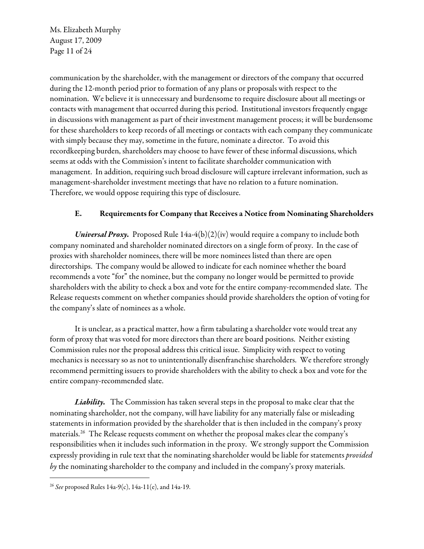Ms. Elizabeth Murphy August 17, 2009 Page 11 of 24

communication by the shareholder, with the management or directors of the company that occurred during the 12-month period prior to formation of any plans or proposals with respect to the nomination. We believe it is unnecessary and burdensome to require disclosure about all meetings or contacts with management that occurred during this period. Institutional investors frequently engage in discussions with management as part of their investment management process; it will be burdensome for these shareholders to keep records of all meetings or contacts with each company they communicate with simply because they may, sometime in the future, nominate a director. To avoid this recordkeeping burden, shareholders may choose to have fewer of these informal discussions, which seems at odds with the Commission's intent to facilitate shareholder communication with management. In addition, requiring such broad disclosure will capture irrelevant information, such as management-shareholder investment meetings that have no relation to a future nomination. Therefore, we would oppose requiring this type of disclosure.

# E. Requirements for Company that Receives a Notice from Nominating Shareholders

Universal Proxy. Proposed Rule  $14a-4(b)(2)(iv)$  would require a company to include both company nominated and shareholder nominated directors on a single form of proxy. In the case of proxies with shareholder nominees, there will be more nominees listed than there are open directorships. The company would be allowed to indicate for each nominee whether the board recommends a vote "for" the nominee, but the company no longer would be permitted to provide shareholders with the ability to check a box and vote for the entire company-recommended slate. The Release requests comment on whether companies should provide shareholders the option of voting for the company's slate of nominees as a whole.

It is unclear, as a practical matter, how a firm tabulating a shareholder vote would treat any form of proxy that was voted for more directors than there are board positions. Neither existing Commission rules nor the proposal address this critical issue. Simplicity with respect to voting mechanics is necessary so as not to unintentionally disenfranchise shareholders. We therefore strongly recommend permitting issuers to provide shareholders with the ability to check a box and vote for the entire company-recommended slate.

Liability. The Commission has taken several steps in the proposal to make clear that the nominating shareholder, not the company, will have liability for any materially false or misleading statements in information provided by the shareholder that is then included in the company's proxy materials.[26](#page-10-0) The Release requests comment on whether the proposal makes clear the company's responsibilities when it includes such information in the proxy. We strongly support the Commission expressly providing in rule text that the nominating shareholder would be liable for statements provided by the nominating shareholder to the company and included in the company's proxy materials.

<span id="page-10-0"></span><sup>&</sup>lt;sup>26</sup> See proposed Rules 14a-9(c), 14a-11(e), and 14a-19.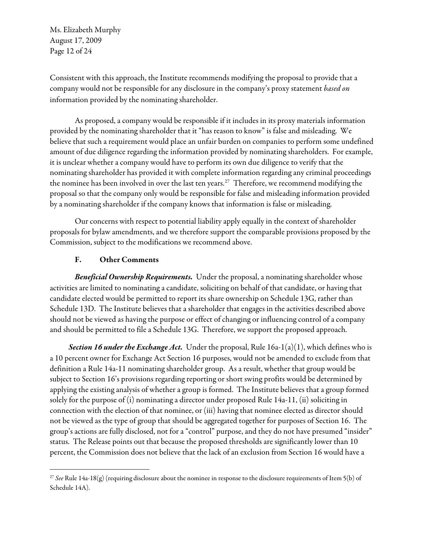Ms. Elizabeth Murphy August 17, 2009 Page 12 of 24

Consistent with this approach, the Institute recommends modifying the proposal to provide that a company would not be responsible for any disclosure in the company's proxy statement based on information provided by the nominating shareholder.

As proposed, a company would be responsible if it includes in its proxy materials information provided by the nominating shareholder that it "has reason to know" is false and misleading. We believe that such a requirement would place an unfair burden on companies to perform some undefined amount of due diligence regarding the information provided by nominating shareholders. For example, it is unclear whether a company would have to perform its own due diligence to verify that the nominating shareholder has provided it with complete information regarding any criminal proceedings the nominee has been involved in over the last ten years.<sup>[27](#page-11-0)</sup> Therefore, we recommend modifying the proposal so that the company only would be responsible for false and misleading information provided by a nominating shareholder if the company knows that information is false or misleading.

Our concerns with respect to potential liability apply equally in the context of shareholder proposals for bylaw amendments, and we therefore support the comparable provisions proposed by the Commission, subject to the modifications we recommend above.

### F. Other Comments

 $\overline{a}$ 

Beneficial Ownership Requirements. Under the proposal, a nominating shareholder whose activities are limited to nominating a candidate, soliciting on behalf of that candidate, or having that candidate elected would be permitted to report its share ownership on Schedule 13G, rather than Schedule 13D. The Institute believes that a shareholder that engages in the activities described above should not be viewed as having the purpose or effect of changing or influencing control of a company and should be permitted to file a Schedule 13G. Therefore, we support the proposed approach.

Section 16 under the Exchange Act. Under the proposal, Rule  $16a-1(a)(1)$ , which defines who is a 10 percent owner for Exchange Act Section 16 purposes, would not be amended to exclude from that definition a Rule 14a-11 nominating shareholder group. As a result, whether that group would be subject to Section 16's provisions regarding reporting or short swing profits would be determined by applying the existing analysis of whether a group is formed. The Institute believes that a group formed solely for the purpose of (i) nominating a director under proposed Rule 14a-11, (ii) soliciting in connection with the election of that nominee, or (iii) having that nominee elected as director should not be viewed as the type of group that should be aggregated together for purposes of Section 16. The group's actions are fully disclosed, not for a "control" purpose, and they do not have presumed "insider" status. The Release points out that because the proposed thresholds are significantly lower than 10 percent, the Commission does not believe that the lack of an exclusion from Section 16 would have a

<span id="page-11-0"></span><sup>&</sup>lt;sup>27</sup> See Rule 14a-18(g) (requiring disclosure about the nominee in response to the disclosure requirements of Item 5(b) of Schedule 14A).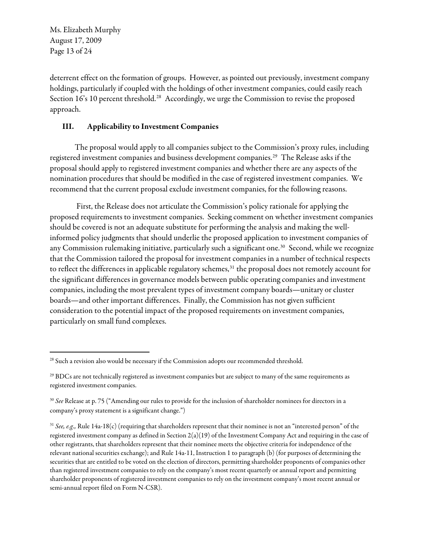Ms. Elizabeth Murphy August 17, 2009 Page 13 of 24

deterrent effect on the formation of groups. However, as pointed out previously, investment company holdings, particularly if coupled with the holdings of other investment companies, could easily reach Section 16's 10 percent threshold.<sup>[28](#page-12-0)</sup> Accordingly, we urge the Commission to revise the proposed approach.

# III. Applicability to Investment Companies

The proposal would apply to all companies subject to the Commission's proxy rules, including registered investment companies and business development companies.[29](#page-12-1) The Release asks if the proposal should apply to registered investment companies and whether there are any aspects of the nomination procedures that should be modified in the case of registered investment companies. We recommend that the current proposal exclude investment companies, for the following reasons.

 First, the Release does not articulate the Commission's policy rationale for applying the proposed requirements to investment companies. Seeking comment on whether investment companies should be covered is not an adequate substitute for performing the analysis and making the wellinformed policy judgments that should underlie the proposed application to investment companies of any Commission rulemaking initiative, particularly such a significant one.<sup>[30](#page-12-2)</sup> Second, while we recognize that the Commission tailored the proposal for investment companies in a number of technical respects to reflect the differences in applicable regulatory schemes,<sup>[31](#page-12-3)</sup> the proposal does not remotely account for the significant differences in governance models between public operating companies and investment companies, including the most prevalent types of investment company boards—unitary or cluster boards—and other important differences. Finally, the Commission has not given sufficient consideration to the potential impact of the proposed requirements on investment companies, particularly on small fund complexes.

<span id="page-12-0"></span> $\overline{a}$ <sup>28</sup> Such a revision also would be necessary if the Commission adopts our recommended threshold.

<span id="page-12-1"></span><sup>&</sup>lt;sup>29</sup> BDCs are not technically registered as investment companies but are subject to many of the same requirements as registered investment companies.

<span id="page-12-2"></span><sup>&</sup>lt;sup>30</sup> See Release at p. 75 ("Amending our rules to provide for the inclusion of shareholder nominees for directors in a company's proxy statement is a significant change.")

<span id="page-12-3"></span> $31$  See, e.g., Rule 14a-18(c) (requiring that shareholders represent that their nominee is not an "interested person" of the registered investment company as defined in Section 2(a)(19) of the Investment Company Act and requiring in the case of other registrants, that shareholders represent that their nominee meets the objective criteria for independence of the relevant national securities exchange); and Rule 14a-11, Instruction 1 to paragraph (b) (for purposes of determining the securities that are entitled to be voted on the election of directors, permitting shareholder proponents of companies other than registered investment companies to rely on the company's most recent quarterly or annual report and permitting shareholder proponents of registered investment companies to rely on the investment company's most recent annual or semi-annual report filed on Form N-CSR).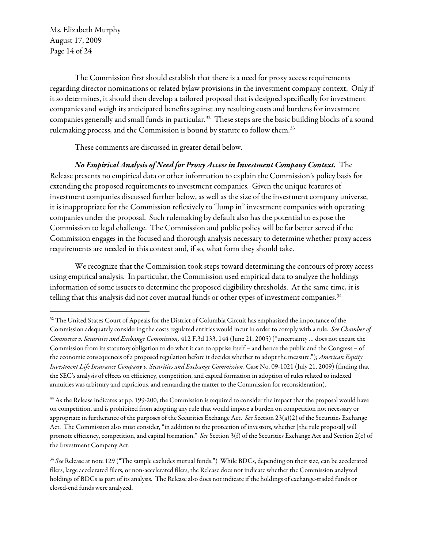Ms. Elizabeth Murphy August 17, 2009 Page 14 of 24

 $\overline{a}$ 

The Commission first should establish that there is a need for proxy access requirements regarding director nominations or related bylaw provisions in the investment company context. Only if it so determines, it should then develop a tailored proposal that is designed specifically for investment companies and weigh its anticipated benefits against any resulting costs and burdens for investment companies generally and small funds in particular.<sup>32</sup> These steps are the basic building blocks of a sound rulemaking process, and the Commission is bound by statute to follow them.<sup>33</sup>

These comments are discussed in greater detail below.

No Empirical Analysis of Need for Proxy Access in Investment Company Context. The Release presents no empirical data or other information to explain the Commission's policy basis for extending the proposed requirements to investment companies. Given the unique features of investment companies discussed further below, as well as the size of the investment company universe, it is inappropriate for the Commission reflexively to "lump in" investment companies with operating companies under the proposal. Such rulemaking by default also has the potential to expose the Commission to legal challenge. The Commission and public policy will be far better served if the Commission engages in the focused and thorough analysis necessary to determine whether proxy access requirements are needed in this context and, if so, what form they should take.

We recognize that the Commission took steps toward determining the contours of proxy access using empirical analysis. In particular, the Commission used empirical data to analyze the holdings information of some issuers to determine the proposed eligibility thresholds. At the same time, it is telling that this analysis did not cover mutual funds or other types of investment companies.<sup>34</sup>

<span id="page-13-0"></span> $32$  The United States Court of Appeals for the District of Columbia Circuit has emphasized the importance of the Commission adequately considering the costs regulated entities would incur in order to comply with a rule. See Chamber of Commerce v. Securities and Exchange Commission, 412 F.3d 133, 144 (June 21, 2005) ("uncertainty … does not excuse the Commission from its statutory obligation to do what it can to apprise itself – and hence the public and the Congress – of the economic consequences of a proposed regulation before it decides whether to adopt the measure."); American Equity Investment Life Insurance Company v. Securities and Exchange Commission, Case No. 09-1021 (July 21, 2009) (finding that the SEC's analysis of effects on efficiency, competition, and capital formation in adoption of rules related to indexed annuities was arbitrary and capricious, and remanding the matter to the Commission for reconsideration).

<span id="page-13-1"></span><sup>&</sup>lt;sup>33</sup> As the Release indicates at pp. 199-200, the Commission is required to consider the impact that the proposal would have on competition, and is prohibited from adopting any rule that would impose a burden on competition not necessary or appropriate in furtherance of the purposes of the Securities Exchange Act. See Section  $23(a)(2)$  of the Securities Exchange Act. The Commission also must consider, "in addition to the protection of investors, whether [the rule proposal] will promote efficiency, competition, and capital formation." See Section 3(f) of the Securities Exchange Act and Section 2(c) of the Investment Company Act.

<span id="page-13-2"></span><sup>&</sup>lt;sup>34</sup> See Release at note 129 ("The sample excludes mutual funds.") While BDCs, depending on their size, can be accelerated filers, large accelerated filers, or non-accelerated filers, the Release does not indicate whether the Commission analyzed holdings of BDCs as part of its analysis. The Release also does not indicate if the holdings of exchange-traded funds or closed-end funds were analyzed.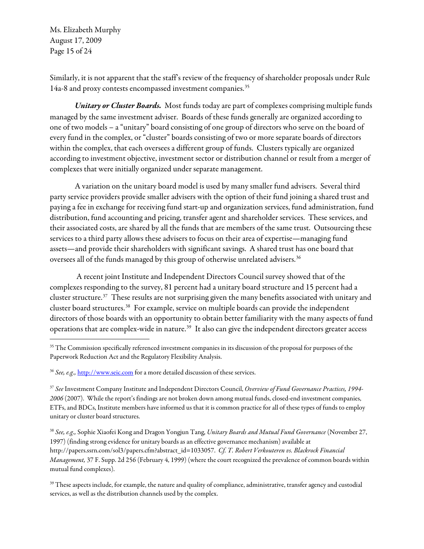Ms. Elizabeth Murphy August 17, 2009 Page 15 of 24

 $\overline{a}$ 

Similarly, it is not apparent that the staff's review of the frequency of shareholder proposals under Rule 14a-8 and proxy contests encompassed investment companies.<sup>[35](#page-14-0)</sup>

Unitary or Cluster Boards. Most funds today are part of complexes comprising multiple funds managed by the same investment adviser. Boards of these funds generally are organized according to one of two models – a "unitary" board consisting of one group of directors who serve on the board of every fund in the complex, or "cluster" boards consisting of two or more separate boards of directors within the complex, that each oversees a different group of funds. Clusters typically are organized according to investment objective, investment sector or distribution channel or result from a merger of complexes that were initially organized under separate management.

A variation on the unitary board model is used by many smaller fund advisers. Several third party service providers provide smaller advisers with the option of their fund joining a shared trust and paying a fee in exchange for receiving fund start-up and organization services, fund administration, fund distribution, fund accounting and pricing, transfer agent and shareholder services. These services, and their associated costs, are shared by all the funds that are members of the same trust. Outsourcing these services to a third party allows these advisers to focus on their area of expertise—managing fund assets—and provide their shareholders with significant savings. A shared trust has one board that oversees all of the funds managed by this group of otherwise unrelated advisers.<sup>[36](#page-14-1)</sup>

 A recent joint Institute and Independent Directors Council survey showed that of the complexes responding to the survey, 81 percent had a unitary board structure and 15 percent had a cluster structure.[37](#page-14-2) These results are not surprising given the many benefits associated with unitary and cluster board structures.[38](#page-14-3) For example, service on multiple boards can provide the independent directors of those boards with an opportunity to obtain better familiarity with the many aspects of fund operations that are complex-wide in nature.[39](#page-14-4) It also can give the independent directors greater access

<span id="page-14-0"></span><sup>&</sup>lt;sup>35</sup> The Commission specifically referenced investment companies in its discussion of the proposal for purposes of the Paperwork Reduction Act and the Regulatory Flexibility Analysis.

<span id="page-14-1"></span><sup>&</sup>lt;sup>36</sup> See, e.g., [http://www.seic.com](http://www.seic.com/) for a more detailed discussion of these services.

<span id="page-14-2"></span><sup>&</sup>lt;sup>37</sup> See Investment Company Institute and Independent Directors Council, Overview of Fund Governance Practices, 1994-2006 (2007). While the report's findings are not broken down among mutual funds, closed-end investment companies, ETFs, and BDCs, Institute members have informed us that it is common practice for all of these types of funds to employ unitary or cluster board structures.

<span id="page-14-3"></span><sup>&</sup>lt;sup>38</sup> See, e.g., Sophie Xiaofei Kong and Dragon Yongjun Tang, Unitary Boards and Mutual Fund Governance (November 27, 1997) (finding strong evidence for unitary boards as an effective governance mechanism) available at http://papers.ssrn.com/sol3/papers.cfm?abstract\_id=1033057. Cf. T. Robert Verkouteren vs. Blackrock Financial Management, 37 F. Supp. 2d 256 (February 4, 1999) (where the court recognized the prevalence of common boards within mutual fund complexes).

<span id="page-14-4"></span><sup>&</sup>lt;sup>39</sup> These aspects include, for example, the nature and quality of compliance, administrative, transfer agency and custodial services, as well as the distribution channels used by the complex.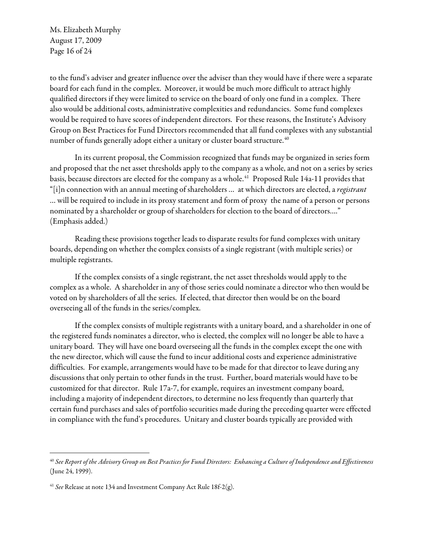Ms. Elizabeth Murphy August 17, 2009 Page 16 of 24

to the fund's adviser and greater influence over the adviser than they would have if there were a separate board for each fund in the complex. Moreover, it would be much more difficult to attract highly qualified directors if they were limited to service on the board of only one fund in a complex. There also would be additional costs, administrative complexities and redundancies. Some fund complexes would be required to have scores of independent directors. For these reasons, the Institute's Advisory Group on Best Practices for Fund Directors recommended that all fund complexes with any substantial number of funds generally adopt either a unitary or cluster board structure.<sup>40</sup>

In its current proposal, the Commission recognized that funds may be organized in series form and proposed that the net asset thresholds apply to the company as a whole, and not on a series by series basis, because directors are elected for the company as a whole.<sup>[41](#page-15-1)</sup> Proposed Rule 14a-11 provides that "[i]n connection with an annual meeting of shareholders ... at which directors are elected, a *registrant* … will be required to include in its proxy statement and form of proxy the name of a person or persons nominated by a shareholder or group of shareholders for election to the board of directors…." (Emphasis added.)

Reading these provisions together leads to disparate results for fund complexes with unitary boards, depending on whether the complex consists of a single registrant (with multiple series) or multiple registrants.

If the complex consists of a single registrant, the net asset thresholds would apply to the complex as a whole. A shareholder in any of those series could nominate a director who then would be voted on by shareholders of all the series. If elected, that director then would be on the board overseeing all of the funds in the series/complex.

If the complex consists of multiple registrants with a unitary board, and a shareholder in one of the registered funds nominates a director, who is elected, the complex will no longer be able to have a unitary board. They will have one board overseeing all the funds in the complex except the one with the new director, which will cause the fund to incur additional costs and experience administrative difficulties. For example, arrangements would have to be made for that director to leave during any discussions that only pertain to other funds in the trust. Further, board materials would have to be customized for that director. Rule 17a-7, for example, requires an investment company board, including a majority of independent directors, to determine no less frequently than quarterly that certain fund purchases and sales of portfolio securities made during the preceding quarter were effected in compliance with the fund's procedures. Unitary and cluster boards typically are provided with

<span id="page-15-0"></span> $^{40}$  See Report of the Advisory Group on Best Practices for Fund Directors: Enhancing a Culture of Independence and Effectiveness (June 24, 1999).

<span id="page-15-1"></span><sup>&</sup>lt;sup>41</sup> See Release at note 134 and Investment Company Act Rule 18f-2(g).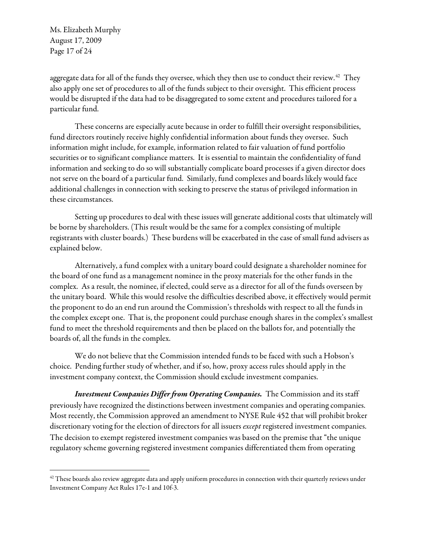Ms. Elizabeth Murphy August 17, 2009 Page 17 of 24

 $\overline{a}$ 

aggregate data for all of the funds they oversee, which they then use to conduct their review.<sup>[42](#page-16-0)</sup> They also apply one set of procedures to all of the funds subject to their oversight. This efficient process would be disrupted if the data had to be disaggregated to some extent and procedures tailored for a particular fund.

These concerns are especially acute because in order to fulfill their oversight responsibilities, fund directors routinely receive highly confidential information about funds they oversee. Such information might include, for example, information related to fair valuation of fund portfolio securities or to significant compliance matters. It is essential to maintain the confidentiality of fund information and seeking to do so will substantially complicate board processes if a given director does not serve on the board of a particular fund. Similarly, fund complexes and boards likely would face additional challenges in connection with seeking to preserve the status of privileged information in these circumstances.

Setting up procedures to deal with these issues will generate additional costs that ultimately will be borne by shareholders. (This result would be the same for a complex consisting of multiple registrants with cluster boards.) These burdens will be exacerbated in the case of small fund advisers as explained below.

Alternatively, a fund complex with a unitary board could designate a shareholder nominee for the board of one fund as a management nominee in the proxy materials for the other funds in the complex. As a result, the nominee, if elected, could serve as a director for all of the funds overseen by the unitary board. While this would resolve the difficulties described above, it effectively would permit the proponent to do an end run around the Commission's thresholds with respect to all the funds in the complex except one. That is, the proponent could purchase enough shares in the complex's smallest fund to meet the threshold requirements and then be placed on the ballots for, and potentially the boards of, all the funds in the complex.

We do not believe that the Commission intended funds to be faced with such a Hobson's choice. Pending further study of whether, and if so, how, proxy access rules should apply in the investment company context, the Commission should exclude investment companies.

Investment Companies Differ from Operating Companies. The Commission and its staff previously have recognized the distinctions between investment companies and operating companies. Most recently, the Commission approved an amendment to NYSE Rule 452 that will prohibit broker discretionary voting for the election of directors for all issuers except registered investment companies. The decision to exempt registered investment companies was based on the premise that "the unique regulatory scheme governing registered investment companies differentiated them from operating

<span id="page-16-0"></span> $42$  These boards also review aggregate data and apply uniform procedures in connection with their quarterly reviews under Investment Company Act Rules 17e-1 and 10f-3.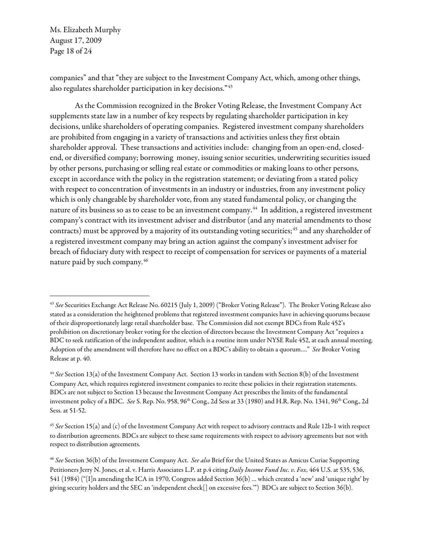Ms. Elizabeth Murphy August 17, 2009 Page 18 of 24

 $\overline{a}$ 

companies" and that "they are subject to the Investment Company Act, which, among other things, also regulates shareholder participation in key decisions."[43](#page-17-0) 

As the Commission recognized in the Broker Voting Release, the Investment Company Act supplements state law in a number of key respects by regulating shareholder participation in key decisions, unlike shareholders of operating companies. Registered investment company shareholders are prohibited from engaging in a variety of transactions and activities unless they first obtain shareholder approval. These transactions and activities include: changing from an open-end, closedend, or diversified company; borrowing money, issuing senior securities, underwriting securities issued by other persons, purchasing or selling real estate or commodities or making loans to other persons, except in accordance with the policy in the registration statement; or deviating from a stated policy with respect to concentration of investments in an industry or industries, from any investment policy which is only changeable by shareholder vote, from any stated fundamental policy, or changing the nature of its business so as to cease to be an investment company.<sup>[44](#page-17-1)</sup> In addition, a registered investment company's contract with its investment adviser and distributor (and any material amendments to those contracts) must be approved by a majority of its outstanding voting securities;<sup>[45](#page-17-2)</sup> and any shareholder of a registered investment company may bring an action against the company's investment adviser for breach of fiduciary duty with respect to receipt of compensation for services or payments of a material nature paid by such company.[46](#page-17-3) 

<span id="page-17-0"></span><sup>&</sup>lt;sup>43</sup> See Securities Exchange Act Release No. 60215 (July 1, 2009) ("Broker Voting Release"). The Broker Voting Release also stated as a consideration the heightened problems that registered investment companies have in achieving quorums because of their disproportionately large retail shareholder base. The Commission did not exempt BDCs from Rule 452's prohibition on discretionary broker voting for the election of directors because the Investment Company Act "requires a BDC to seek ratification of the independent auditor, which is a routine item under NYSE Rule 452, at each annual meeting. Adoption of the amendment will therefore have no effect on a BDC's ability to obtain a quorum...." See Broker Voting Release at p. 40.

<span id="page-17-1"></span><sup>&</sup>lt;sup>44</sup> See Section 13(a) of the Investment Company Act. Section 13 works in tandem with Section 8(b) of the Investment Company Act, which requires registered investment companies to recite these policies in their registration statements. BDCs are not subject to Section 13 because the Investment Company Act prescribes the limits of the fundamental investment policy of a BDC. See S. Rep. No. 958, 96<sup>th</sup> Cong., 2d Sess at 33 (1980) and H.R. Rep. No. 1341, 96<sup>th</sup> Cong., 2d Sess. at 51-52.

<span id="page-17-2"></span> $45$  See Section 15(a) and (c) of the Investment Company Act with respect to advisory contracts and Rule 12b-1 with respect to distribution agreements. BDCs are subject to these same requirements with respect to advisory agreements but not with respect to distribution agreements.

<span id="page-17-3"></span><sup>&</sup>lt;sup>46</sup> See Section 36(b) of the Investment Company Act. See also Brief for the United States as Amicus Curiae Supporting Petitioners Jerry N. Jones, et al. v. Harris Associates L.P. at p.4 citing Daily Income Fund Inc. v. Fox, 464 U.S. at 535, 536, 541 (1984) ("[I]n amending the ICA in 1970, Congress added Section 36(b) … which created a 'new' and 'unique right' by giving security holders and the SEC an 'independent check[] on excessive fees.'") BDCs are subject to Section 36(b).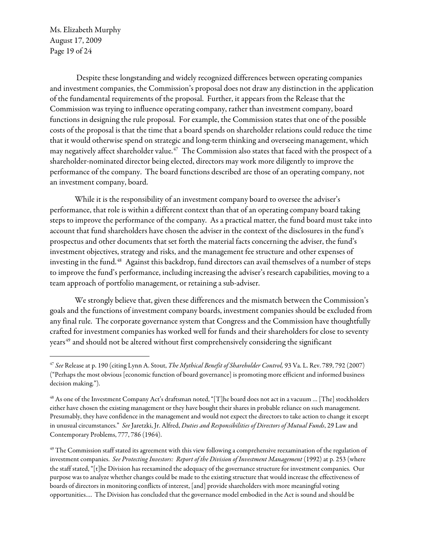Ms. Elizabeth Murphy August 17, 2009 Page 19 of 24

 $\overline{a}$ 

Despite these longstanding and widely recognized differences between operating companies and investment companies, the Commission's proposal does not draw any distinction in the application of the fundamental requirements of the proposal. Further, it appears from the Release that the Commission was trying to influence operating company, rather than investment company, board functions in designing the rule proposal. For example, the Commission states that one of the possible costs of the proposal is that the time that a board spends on shareholder relations could reduce the time that it would otherwise spend on strategic and long-term thinking and overseeing management, which may negatively affect shareholder value.<sup>[47](#page-18-0)</sup> The Commission also states that faced with the prospect of a shareholder-nominated director being elected, directors may work more diligently to improve the performance of the company. The board functions described are those of an operating company, not an investment company, board.

While it is the responsibility of an investment company board to oversee the adviser's performance, that role is within a different context than that of an operating company board taking steps to improve the performance of the company. As a practical matter, the fund board must take into account that fund shareholders have chosen the adviser in the context of the disclosures in the fund's prospectus and other documents that set forth the material facts concerning the adviser, the fund's investment objectives, strategy and risks, and the management fee structure and other expenses of investing in the fund.<sup>[48](#page-18-1)</sup> Against this backdrop, fund directors can avail themselves of a number of steps to improve the fund's performance, including increasing the adviser's research capabilities, moving to a team approach of portfolio management, or retaining a sub-adviser.

We strongly believe that, given these differences and the mismatch between the Commission's goals and the functions of investment company boards, investment companies should be excluded from any final rule. The corporate governance system that Congress and the Commission have thoughtfully crafted for investment companies has worked well for funds and their shareholders for close to seventy years<sup>[49](#page-18-2)</sup> and should not be altered without first comprehensively considering the significant

<span id="page-18-0"></span><sup>&</sup>lt;sup>47</sup> See Release at p. 190 (citing Lynn A. Stout, The Mythical Benefit of Shareholder Control, 93 Va. L. Rev. 789, 792 (2007) ("Perhaps the most obvious [economic function of board governance] is promoting more efficient and informed business decision making.").

<span id="page-18-1"></span> $^{48}$  As one of the Investment Company Act's draftsman noted, "[T]he board does not act in a vacuum ... [The] stockholders either have chosen the existing management or they have bought their shares in probable reliance on such management. Presumably, they have confidence in the management and would not expect the directors to take action to change it except in unusual circumstances." See Jaretzki, Jr. Alfred, Duties and Responsibilities of Directors of Mutual Funds, 29 Law and Contemporary Problems, 777, 786 (1964).

<span id="page-18-2"></span> $49$  The Commission staff stated its agreement with this view following a comprehensive reexamination of the regulation of investment companies. See Protecting Investors: Report of the Division of Investment Management (1992) at p. 253 (where the staff stated, "[t]he Division has reexamined the adequacy of the governance structure for investment companies. Our purpose was to analyze whether changes could be made to the existing structure that would increase the effectiveness of boards of directors in monitoring conflicts of interest, [and] provide shareholders with more meaningful voting opportunities…. The Division has concluded that the governance model embodied in the Act is sound and should be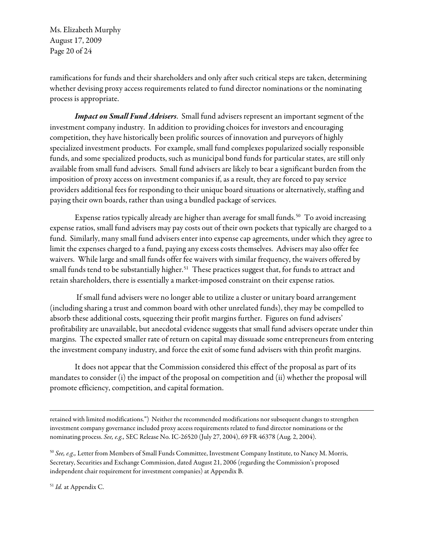Ms. Elizabeth Murphy August 17, 2009 Page 20 of 24

ramifications for funds and their shareholders and only after such critical steps are taken, determining whether devising proxy access requirements related to fund director nominations or the nominating process is appropriate.

Impact on Small Fund Advisers. Small fund advisers represent an important segment of the investment company industry. In addition to providing choices for investors and encouraging competition, they have historically been prolific sources of innovation and purveyors of highly specialized investment products. For example, small fund complexes popularized socially responsible funds, and some specialized products, such as municipal bond funds for particular states, are still only available from small fund advisers. Small fund advisers are likely to bear a significant burden from the imposition of proxy access on investment companies if, as a result, they are forced to pay service providers additional fees for responding to their unique board situations or alternatively, staffing and paying their own boards, rather than using a bundled package of services.

Expense ratios typically already are higher than average for small funds.<sup>[50](#page-19-0)</sup> To avoid increasing expense ratios, small fund advisers may pay costs out of their own pockets that typically are charged to a fund. Similarly, many small fund advisers enter into expense cap agreements, under which they agree to limit the expenses charged to a fund, paying any excess costs themselves. Advisers may also offer fee waivers. While large and small funds offer fee waivers with similar frequency, the waivers offered by small funds tend to be substantially higher.<sup>[51](#page-19-1)</sup> These practices suggest that, for funds to attract and retain shareholders, there is essentially a market-imposed constraint on their expense ratios.

 If small fund advisers were no longer able to utilize a cluster or unitary board arrangement (including sharing a trust and common board with other unrelated funds), they may be compelled to absorb these additional costs, squeezing their profit margins further. Figures on fund advisers' profitability are unavailable, but anecdotal evidence suggests that small fund advisers operate under thin margins. The expected smaller rate of return on capital may dissuade some entrepreneurs from entering the investment company industry, and force the exit of some fund advisers with thin profit margins.

It does not appear that the Commission considered this effect of the proposal as part of its mandates to consider (i) the impact of the proposal on competition and (ii) whether the proposal will promote efficiency, competition, and capital formation.

retained with limited modifications.") Neither the recommended modifications nor subsequent changes to strengthen investment company governance included proxy access requirements related to fund director nominations or the nominating process. See, e.g., SEC Release No. IC-26520 (July 27, 2004), 69 FR 46378 (Aug. 2, 2004).

<span id="page-19-0"></span> $50$  See, e.g., Letter from Members of Small Funds Committee, Investment Company Institute, to Nancy M. Morris, Secretary, Securities and Exchange Commission, dated August 21, 2006 (regarding the Commission's proposed independent chair requirement for investment companies) at Appendix B.

<span id="page-19-1"></span><sup>51</sup> Id. at Appendix C.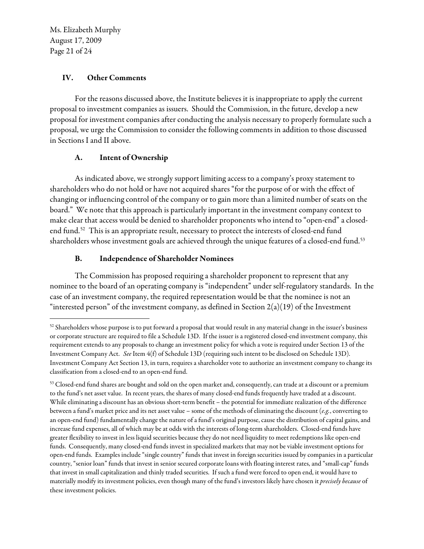Ms. Elizabeth Murphy August 17, 2009 Page 21 of 24

 $\overline{a}$ 

#### IV. Other Comments

For the reasons discussed above, the Institute believes it is inappropriate to apply the current proposal to investment companies as issuers. Should the Commission, in the future, develop a new proposal for investment companies after conducting the analysis necessary to properly formulate such a proposal, we urge the Commission to consider the following comments in addition to those discussed in Sections I and II above.

# A. Intent of Ownership

As indicated above, we strongly support limiting access to a company's proxy statement to shareholders who do not hold or have not acquired shares "for the purpose of or with the effect of changing or influencing control of the company or to gain more than a limited number of seats on the board." We note that this approach is particularly important in the investment company context to make clear that access would be denied to shareholder proponents who intend to "open-end" a closed-end fund.<sup>[52](#page-20-0)</sup> This is an appropriate result, necessary to protect the interests of closed-end fund shareholders whose investment goals are achieved through the unique features of a closed-end fund.<sup>53</sup>

# B. Independence of Shareholder Nominees

The Commission has proposed requiring a shareholder proponent to represent that any nominee to the board of an operating company is "independent" under self-regulatory standards. In the case of an investment company, the required representation would be that the nominee is not an "interested person" of the investment company, as defined in Section 2(a)(19) of the Investment

<span id="page-20-0"></span><sup>52</sup> Shareholders whose purpose is to put forward a proposal that would result in any material change in the issuer's business or corporate structure are required to file a Schedule 13D. If the issuer is a registered closed-end investment company, this requirement extends to any proposals to change an investment policy for which a vote is required under Section 13 of the Investment Company Act. See Item 4(f) of Schedule 13D (requiring such intent to be disclosed on Schedule 13D). Investment Company Act Section 13, in turn, requires a shareholder vote to authorize an investment company to change its classification from a closed-end to an open-end fund.

<span id="page-20-1"></span><sup>53</sup> Closed-end fund shares are bought and sold on the open market and, consequently, can trade at a discount or a premium to the fund's net asset value. In recent years, the shares of many closed-end funds frequently have traded at a discount. While eliminating a discount has an obvious short-term benefit – the potential for immediate realization of the difference between a fund's market price and its net asset value – some of the methods of eliminating the discount ( $e.g.,$  converting to an open-end fund) fundamentally change the nature of a fund's original purpose, cause the distribution of capital gains, and increase fund expenses, all of which may be at odds with the interests of long-term shareholders. Closed-end funds have greater flexibility to invest in less liquid securities because they do not need liquidity to meet redemptions like open-end funds. Consequently, many closed-end funds invest in specialized markets that may not be viable investment options for open-end funds. Examples include "single country" funds that invest in foreign securities issued by companies in a particular country, "senior loan" funds that invest in senior secured corporate loans with floating interest rates, and "small-cap" funds that invest in small capitalization and thinly traded securities. If such a fund were forced to open end, it would have to materially modify its investment policies, even though many of the fund's investors likely have chosen it precisely because of these investment policies.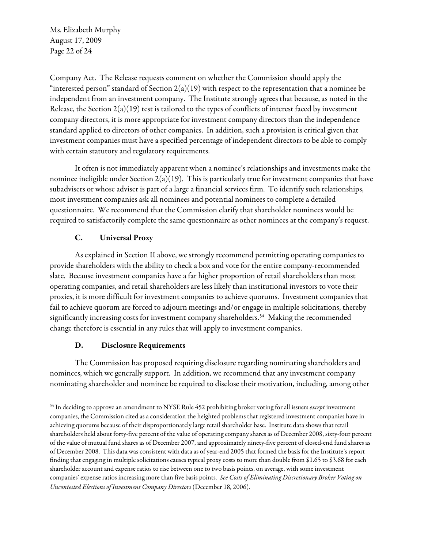Ms. Elizabeth Murphy August 17, 2009 Page 22 of 24

Company Act. The Release requests comment on whether the Commission should apply the "interested person" standard of Section  $2(a)(19)$  with respect to the representation that a nominee be independent from an investment company. The Institute strongly agrees that because, as noted in the Release, the Section  $2(a)(19)$  test is tailored to the types of conflicts of interest faced by investment company directors, it is more appropriate for investment company directors than the independence standard applied to directors of other companies. In addition, such a provision is critical given that investment companies must have a specified percentage of independent directors to be able to comply with certain statutory and regulatory requirements.

It often is not immediately apparent when a nominee's relationships and investments make the nominee ineligible under Section  $2(a)(19)$ . This is particularly true for investment companies that have subadvisers or whose adviser is part of a large a financial services firm. To identify such relationships, most investment companies ask all nominees and potential nominees to complete a detailed questionnaire. We recommend that the Commission clarify that shareholder nominees would be required to satisfactorily complete the same questionnaire as other nominees at the company's request.

# C. Universal Proxy

As explained in Section II above, we strongly recommend permitting operating companies to provide shareholders with the ability to check a box and vote for the entire company-recommended slate. Because investment companies have a far higher proportion of retail shareholders than most operating companies, and retail shareholders are less likely than institutional investors to vote their proxies, it is more difficult for investment companies to achieve quorums. Investment companies that fail to achieve quorum are forced to adjourn meetings and/or engage in multiple solicitations, thereby significantly increasing costs for investment company shareholders.<sup>[54](#page-21-0)</sup> Making the recommended change therefore is essential in any rules that will apply to investment companies.

# D. Disclosure Requirements

 $\overline{a}$ 

The Commission has proposed requiring disclosure regarding nominating shareholders and nominees, which we generally support. In addition, we recommend that any investment company nominating shareholder and nominee be required to disclose their motivation, including, among other

<span id="page-21-0"></span><sup>&</sup>lt;sup>54</sup> In deciding to approve an amendment to NYSE Rule 452 prohibiting broker voting for all issuers except investment companies, the Commission cited as a consideration the heighted problems that registered investment companies have in achieving quorums because of their disproportionately large retail shareholder base. Institute data shows that retail shareholders held about forty-five percent of the value of operating company shares as of December 2008, sixty-four percent of the value of mutual fund shares as of December 2007, and approximately ninety-five percent of closed-end fund shares as of December 2008. This data was consistent with data as of year-end 2005 that formed the basis for the Institute's report finding that engaging in multiple solicitations causes typical proxy costs to more than double from \$1.65 to \$3.68 for each shareholder account and expense ratios to rise between one to two basis points, on average, with some investment companies' expense ratios increasing more than five basis points. See Costs of Eliminating Discretionary Broker Voting on Uncontested Elections of Investment Company Directors (December 18, 2006).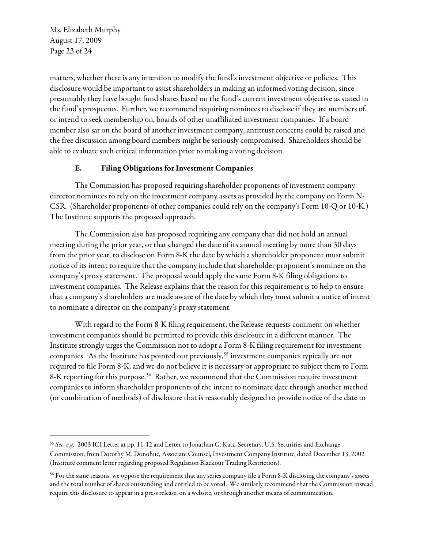Ms. Elizabeth Murphy August 17, 2009 Page 23 of 24

 $\overline{a}$ 

matters, whether there is any intention to modify the fund's investment objective or policies. This disclosure would be important to assist shareholders in making an informed voting decision, since presumably they have bought fund shares based on the fund's current investment objective as stated in the fund's prospectus. Further, we recommend requiring nominees to disclose if they are members of, or intend to seek membership on, boards of other unaffiliated investment companies. If a board member also sat on the board of another investment company, antitrust concerns could be raised and the free discussion among board members might be seriously compromised. Shareholders should be able to evaluate such critical information prior to making a voting decision.

# E. Filing Obligations for Investment Companies

The Commission has proposed requiring shareholder proponents of investment company director nominees to rely on the investment company assets as provided by the company on Form N-CSR. (Shareholder proponents of other companies could rely on the company's Form 10-Q or 10-K.) The Institute supports the proposed approach.

The Commission also has proposed requiring any company that did not hold an annual meeting during the prior year, or that changed the date of its annual meeting by more than 30 days from the prior year, to disclose on Form 8-K the date by which a shareholder proponent must submit notice of its intent to require that the company include that shareholder proponent's nominee on the company's proxy statement. The proposal would apply the same Form 8-K filing obligations to investment companies. The Release explains that the reason for this requirement is to help to ensure that a company's shareholders are made aware of the date by which they must submit a notice of intent to nominate a director on the company's proxy statement.

With regard to the Form 8-K filing requirement, the Release requests comment on whether investment companies should be permitted to provide this disclosure in a different manner. The Institute strongly urges the Commission not to adopt a Form 8-K filing requirement for investment companies. As the Institute has pointed out previously,<sup>[55](#page-22-0)</sup> investment companies typically are not required to file Form 8-K, and we do not believe it is necessary or appropriate to subject them to Form 8-K reporting for this purpose.<sup>[56](#page-22-1)</sup> Rather, we recommend that the Commission require investment companies to inform shareholder proponents of the intent to nominate date through another method (or combination of methods) of disclosure that is reasonably designed to provide notice of the date to

<span id="page-22-0"></span><sup>&</sup>lt;sup>55</sup> See, e.g., 2003 ICI Letter at pp. 11-12 and Letter to Jonathan G. Katz, Secretary, U.S. Securities and Exchange Commission, from Dorothy M. Donohue, Associate Counsel, Investment Company Institute, dated December 13, 2002 (Institute comment letter regarding proposed Regulation Blackout Trading Restriction).

<span id="page-22-1"></span><sup>&</sup>lt;sup>56</sup> For the same reasons, we oppose the requirement that any series company file a Form 8-K disclosing the company's assets and the total number of shares outstanding and entitled to be voted. We similarly recommend that the Commission instead require this disclosure to appear in a press release, on a website, or through another means of communication.